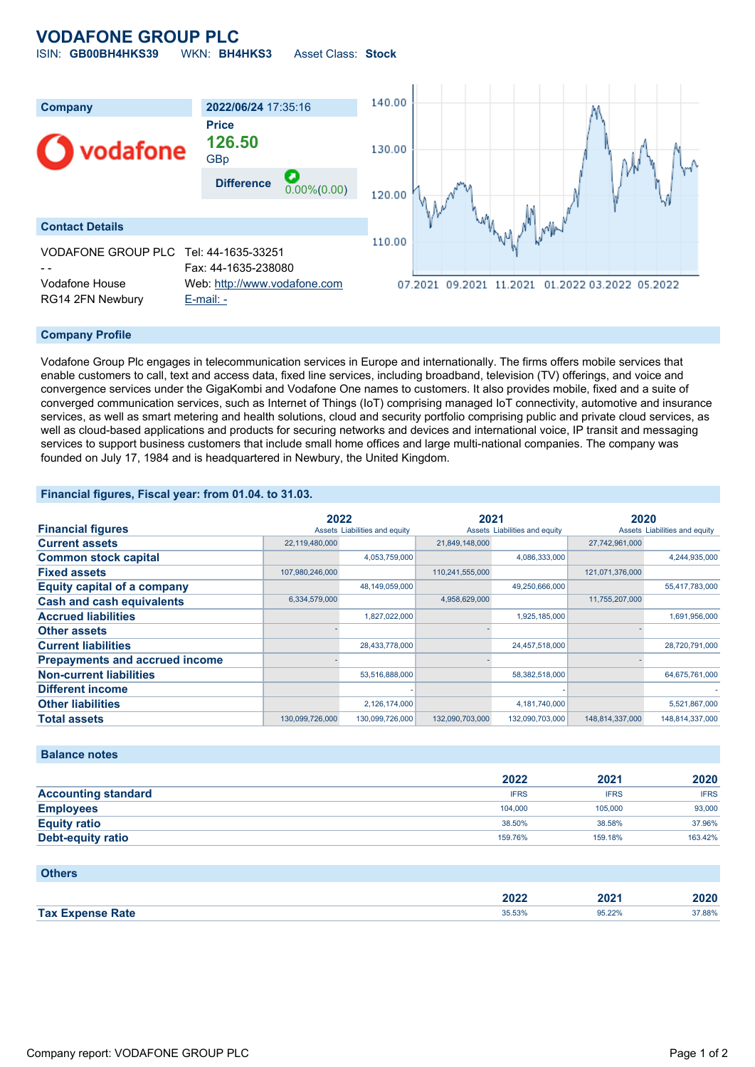# **VODAFONE GROUP PLC** ISIN: **GB00BH4HKS39** WKN: **BH4HKS3** Asset Class: **Stock**

140.00 **Company 2022/06/24** 17:35:16 **Price 126.50** odafone 130.00 GBp **Difference** 0.00%(0.00) 120.00 **Contact Details** 110.00 VODAFONE GROUP PLC Tel: 44-1635-33251 Fax: 44-1635-238080 Vodafone House Web: [http://www.vodafone.com](http://www.vodafone.com/) 07.2021 09.2021 11.2021 01.2022 03.2022 05.2022 RG14 2FN Newbury [E-mail: -](mailto:-)

### **Company Profile**

Vodafone Group Plc engages in telecommunication services in Europe and internationally. The firms offers mobile services that enable customers to call, text and access data, fixed line services, including broadband, television (TV) offerings, and voice and convergence services under the GigaKombi and Vodafone One names to customers. It also provides mobile, fixed and a suite of converged communication services, such as Internet of Things (IoT) comprising managed IoT connectivity, automotive and insurance services, as well as smart metering and health solutions, cloud and security portfolio comprising public and private cloud services, as well as cloud-based applications and products for securing networks and devices and international voice, IP transit and messaging services to support business customers that include small home offices and large multi-national companies. The company was founded on July 17, 1984 and is headquartered in Newbury, the United Kingdom.

## **Financial figures, Fiscal year: from 01.04. to 31.03.**

|                                       |                 | 2022                          |                               | 2021            |                               | 2020            |  |
|---------------------------------------|-----------------|-------------------------------|-------------------------------|-----------------|-------------------------------|-----------------|--|
| <b>Financial figures</b>              |                 | Assets Liabilities and equity | Assets Liabilities and equity |                 | Assets Liabilities and equity |                 |  |
| <b>Current assets</b>                 | 22,119,480,000  |                               | 21,849,148,000                |                 | 27,742,961,000                |                 |  |
| <b>Common stock capital</b>           |                 | 4,053,759,000                 |                               | 4,086,333,000   |                               | 4,244,935,000   |  |
| <b>Fixed assets</b>                   | 107,980,246,000 |                               | 110,241,555,000               |                 | 121,071,376,000               |                 |  |
| <b>Equity capital of a company</b>    |                 | 48,149,059,000                |                               | 49,250,666,000  |                               | 55,417,783,000  |  |
| <b>Cash and cash equivalents</b>      | 6,334,579,000   |                               | 4,958,629,000                 |                 | 11,755,207,000                |                 |  |
| <b>Accrued liabilities</b>            |                 | 1,827,022,000                 |                               | 1,925,185,000   |                               | 1,691,956,000   |  |
| <b>Other assets</b>                   |                 |                               |                               |                 |                               |                 |  |
| <b>Current liabilities</b>            |                 | 28,433,778,000                |                               | 24,457,518,000  |                               | 28,720,791,000  |  |
| <b>Prepayments and accrued income</b> |                 |                               |                               |                 |                               |                 |  |
| <b>Non-current liabilities</b>        |                 | 53,516,888,000                |                               | 58,382,518,000  |                               | 64,675,761,000  |  |
| <b>Different income</b>               |                 |                               |                               |                 |                               |                 |  |
| <b>Other liabilities</b>              |                 | 2,126,174,000                 |                               | 4,181,740,000   |                               | 5,521,867,000   |  |
| <b>Total assets</b>                   | 130,099,726,000 | 130,099,726,000               | 132,090,703,000               | 132,090,703,000 | 148,814,337,000               | 148,814,337,000 |  |

## **Balance notes**

|                            | 2022        | 2021        | 2020        |
|----------------------------|-------------|-------------|-------------|
| <b>Accounting standard</b> | <b>IFRS</b> | <b>IFRS</b> | <b>IFRS</b> |
| <b>Employees</b>           | 104.000     | 105,000     | 93,000      |
| <b>Equity ratio</b>        | 38.50%      | 38.58%      | 37.96%      |
| <b>Debt-equity ratio</b>   | 159.76%     | 159.18%     | 163.42%     |

#### **Others**

|                    | יר חר<br>ZUZZ | 20)    | 2020   |
|--------------------|---------------|--------|--------|
| <b>Tax</b><br>Rate | 35.53%        | 95.22% | 37.88% |